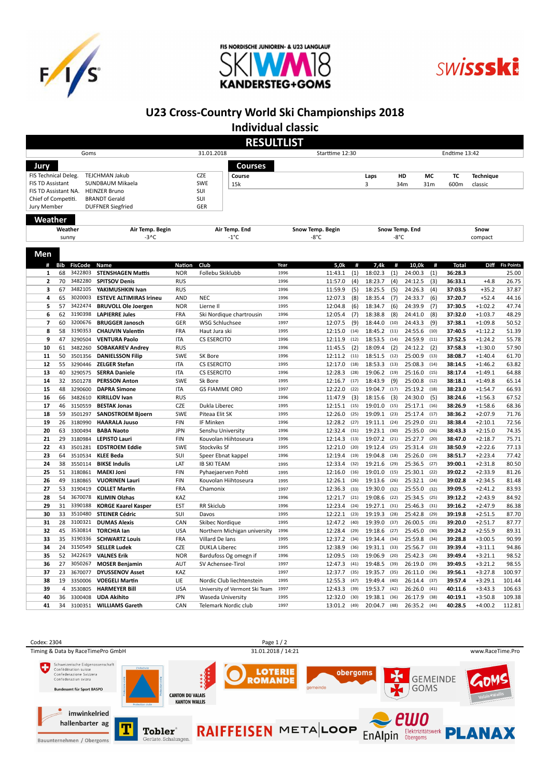





## U23 Cross-Country World Ski Championships 2018

Individual classic

|                      |                  |                           |                                                 |                             | <b>RESULTLIST</b>                        |              |                                    |                    |                |                    |              |                         |                        |                            |
|----------------------|------------------|---------------------------|-------------------------------------------------|-----------------------------|------------------------------------------|--------------|------------------------------------|--------------------|----------------|--------------------|--------------|-------------------------|------------------------|----------------------------|
|                      |                  | Goms                      |                                                 |                             | 31.01.2018                               |              | Starttime 12:30                    |                    |                |                    |              | Endtime 13:42           |                        |                            |
| Jury                 |                  |                           |                                                 |                             | <b>Courses</b>                           |              |                                    |                    |                |                    |              |                         |                        |                            |
| FIS Technical Deleg. |                  |                           | TEJCHMAN Jakub                                  |                             | <b>CZE</b><br>Course                     |              |                                    | Laps               |                | HD                 | MC           | TC                      | <b>Technique</b>       |                            |
| FIS TD Assistant     |                  |                           | SUNDBAUM Mikaela                                |                             | SWE<br>15k                               |              |                                    | 3                  |                | 34m                | 31m          | 600m                    | classic                |                            |
| FIS TD Assistant NA. |                  |                           | <b>HEINZER Bruno</b>                            |                             | SUI                                      |              |                                    |                    |                |                    |              |                         |                        |                            |
| Chief of Competiti.  |                  |                           | <b>BRANDT Gerald</b>                            |                             | SUI<br>GER                               |              |                                    |                    |                |                    |              |                         |                        |                            |
| Jury Member          |                  |                           | <b>DUFFNER Siegfried</b>                        |                             |                                          |              |                                    |                    |                |                    |              |                         |                        |                            |
| Weather              |                  |                           |                                                 |                             |                                          |              |                                    |                    |                |                    |              |                         |                        |                            |
|                      |                  | Weather                   | Air Temp. Begin                                 |                             | Air Temp. End                            |              | Snow Temp. Begin                   |                    |                | Snow Temp. End     |              |                         | Snow                   |                            |
|                      |                  | sunny                     | $-3^{\circ}$ C                                  |                             | $-1^{\circ}C$                            |              | -8°C                               |                    | $-8^{\circ}$ C |                    |              |                         | compact                |                            |
| Men                  |                  |                           |                                                 |                             |                                          |              |                                    |                    |                |                    |              |                         |                        |                            |
|                      |                  |                           |                                                 |                             |                                          |              |                                    |                    |                |                    |              |                         |                        |                            |
| #<br>1               | <b>Bib</b><br>68 | <b>FisCode</b><br>3422803 | Name<br><b>STENSHAGEN Mattis</b>                | <b>Nation</b><br><b>NOR</b> | Club<br>Follebu Skiklubb                 | Year<br>1996 | 5,0k<br>#<br>11:43.1<br>(1)        | 7,4k<br>18:02.3    | #<br>(1)       | 10,0k<br>24:00.3   | #<br>(1)     | <b>Total</b><br>36:28.3 | Diff                   | <b>Fis Points</b><br>25.00 |
| 2                    | 70               | 3482280                   | <b>SPITSOV Denis</b>                            | <b>RUS</b>                  |                                          | 1996         | 11:57.0<br>(4)                     | 18:23.7            | (4)            | 24:12.5            | (3)          | 36:33.1                 | $+4.8$                 | 26.75                      |
| 3                    | 67               | 3482105                   | YAKIMUSHKIN Ivan                                | <b>RUS</b>                  |                                          | 1996         | 11:59.9<br>(5)                     | 18:25.5            | (5)            | 24:26.3            | (4)          | 37:03.5                 | $+35.2$                | 37.87                      |
| 4                    | 65               | 3020003                   | <b>ESTEVE ALTIMIRAS Irineu</b>                  | <b>AND</b>                  | <b>NEC</b>                               | 1996         | 12:07.3<br>(8)                     | 18:35.4            | (7)            | 24:33.7            | (6)          | 37:20.7                 | $+52.4$                | 44.16                      |
| 5                    | 57               | 3422474                   | <b>BRUVOLL Ole Joergen</b>                      | <b>NOR</b>                  | Lierne II                                | 1995         | 12:04.8<br>(6)                     | 18:34.7            | (6)            | 24:39.9            | (7)          | 37:30.5                 | $+1:02.2$              | 47.74                      |
| 6                    | 62               | 3190398                   | <b>LAPIERRE Jules</b>                           | <b>FRA</b>                  | Ski Nordique chartrousin                 | 1996         | 12:05.4<br>(7)                     | 18:38.8            | (8)            | 24:41.0            | (8)          | 37:32.0                 | $+1:03.7$              | 48.29                      |
| 7                    | 60               | 3200676                   | <b>BRUGGER Janosch</b>                          | GER                         | WSG Schluchsee                           | 1997         | 12:07.5<br>(9)                     | 18:44.0            | (10)           | 24:43.3            | (9)          | 37:38.1                 | $+1:09.8$              | 50.52                      |
| 8                    | 58               | 3190353                   | <b>CHAUVIN Valentin</b>                         | <b>FRA</b>                  | Haut Jura ski                            | 1995         | 12:15.0<br>(14)                    | 18:45.2            | (11)           | 24:55.6            | (10)         | 37:40.5                 | $+1:12.2$              | 51.39                      |
| 9                    | 47               | 3290504                   | <b>VENTURA Paolo</b>                            | <b>ITA</b>                  | <b>CS ESERCITO</b>                       | 1996         | 12:11.9<br>(12)                    | 18:53.5            | (14)           | 24:59.9            | (11)         | 37:52.5                 | $+1:24.2$              | 55.78                      |
| 10                   | 61               | 3482260                   | <b>SOBAKAREV Andrey</b>                         | <b>RUS</b>                  |                                          | 1996         | 11:45.5<br>(2)                     | 18:09.4            | (2)            | 24:12.2            | (2)          | 37:58.3                 | $+1:30.0$              | 57.90                      |
| 11                   | 50               | 3501356                   | <b>DANIELSSON Filip</b>                         | SWE                         | SK Bore                                  | 1996         | 12:11.2<br>(11)                    | 18:51.5            | (12)           | 25:00.9            | (13)         | 38:08.7                 | $+1:40.4$              | 61.70                      |
| 12<br>13             | 55<br>40         | 3290446<br>3290575        | <b>ZELGER Stefan</b><br><b>SERRA Daniele</b>    | <b>ITA</b><br><b>ITA</b>    | <b>CS ESERCITO</b><br><b>CS ESERCITO</b> | 1995<br>1996 | 12:17.0<br>(18)<br>12:28.3<br>(28) | 18:53.3<br>19:06.2 | (13)<br>(19)   | 25:08.3<br>25:16.0 | (14)<br>(15) | 38:14.5<br>38:17.4      | $+1:46.2$<br>$+1:49.1$ | 63.82<br>64.88             |
| 14                   | 32               | 3501278                   | <b>PERSSON Anton</b>                            | SWE                         | Sk Bore                                  | 1995         | 12:16.7<br>(17)                    | 18:43.9            | (9)            | 25:00.8            | (12)         | 38:18.1                 | $+1:49.8$              | 65.14                      |
| 15                   | 48               | 3290600                   | <b>DAPRA Simone</b>                             | <b>ITA</b>                  | <b>GS FIAMME ORO</b>                     | 1997         | 12:22.0<br>(22)                    | 19:04.7            | (17)           | 25:19.2            | (18)         | 38:23.0                 | $+1:54.7$              | 66.93                      |
| 16                   | 66               | 3482610                   | <b>KIRILLOV Ivan</b>                            | <b>RUS</b>                  |                                          | 1996         | 11:47.9<br>(3)                     | 18:15.6            | (3)            | 24:30.0            | (5)          | 38:24.6                 | $+1:56.3$              | 67.52                      |
| 17                   | 46               | 3150559                   | <b>BESTAK Jonas</b>                             | <b>CZE</b>                  | Dukla Liberec                            | 1995         | (15)<br>12:15.1                    | 19:01.0            | (15)           | 25:17.1            | (16)         | 38:26.9                 | $+1:58.6$              | 68.36                      |
| 18                   | 59               | 3501297                   | <b>SANDSTROEM Bjoern</b>                        | SWE                         | Piteaa Elit SK                           | 1995         | 12:26.0<br>(25)                    | 19:09.1            | (23)           | 25:17.4            | (17)         | 38:36.2                 | $+2:07.9$              | 71.76                      |
| 19                   | 26               | 3180990                   | <b>HAARALA Juuso</b>                            | <b>FIN</b>                  | IF Minken                                | 1996         | 12:28.2<br>(27)                    | 19:11.1            | (24)           | 25:29.0            | (21)         | 38:38.4                 | $+2:10.1$              | 72.56                      |
| 20                   | 63               | 3300494                   | <b>BABA Naoto</b>                               | <b>JPN</b>                  | Senshu University                        | 1996         | 12:32.4<br>(31)                    | 19:23.1            | (30)           | 25:35.0            | (26)         | 38:43.3                 | $+2:15.0$              | 74.35                      |
| 21                   | 29               | 3180984                   | <b>LEPISTO Lauri</b>                            | <b>FIN</b>                  | Kouvolan Hiihtoseura                     | 1996         | 12:14.3<br>(13)                    | 19:07.2            | (21)           | 25:27.7            | (20)         | 38:47.0                 | $+2:18.7$              | 75.71                      |
| 22                   | 43               | 3501281                   | <b>EDSTROEM Eddie</b>                           | <b>SWE</b>                  | Stockviks Sf                             | 1995         | 12:21.0<br>(20)                    | 19:12.4            | (25)           | 25:31.4            | (23)         | 38:50.9                 | $+2:22.6$              | 77.13                      |
| 23                   | 64               | 3510534                   | <b>KLEE Beda</b>                                | SUI                         | Speer Ebnat kappel                       | 1996         | 12:19.4<br>(19)                    | 19:04.8            | (18)           | 25:26.0            | (19)         | 38:51.7                 | $+2:23.4$              | 77.42                      |
| 24<br>25             | 38<br>51         | 3550114<br>3180861        | <b>BIKSE Indulis</b><br><b>MAEKI Joni</b>       | LAT<br><b>FIN</b>           | <b>IB SKI TEAM</b><br>Pyhaejaerven Pohti | 1995<br>1995 | 12:33.4<br>(32)<br>12:16.0<br>(16) | 19:21.6<br>19:01.0 | (29)<br>(15)   | 25:36.5<br>25:30.1 | (27)<br>(22) | 39:00.1<br>39:02.2      | $+2:31.8$<br>$+2:33.9$ | 80.50<br>81.26             |
| 26                   | 49               | 3180865                   | <b>VUORINEN Lauri</b>                           | <b>FIN</b>                  | Kouvolan Hiihtoseura                     | 1995         | 12:26.1<br>(26)                    | 19:13.6            | (26)           | 25:32.1            | (24)         | 39:02.8                 | $+2:34.5$              | 81.48                      |
| 27                   | 53               | 3190419                   | <b>COLLET Martin</b>                            | FRA                         | Chamonix                                 | 1997         | 12:36.3<br>(33)                    | 19:30.0            | (32)           | 25:55.0            | (32)         | 39:09.5                 | $+2:41.2$              | 83.93                      |
| 28                   | 54               | 3670078                   | <b>KLIMIN Olzhas</b>                            | KAZ                         |                                          | 1996         | 12:21.7<br>(21)                    | 19:08.6            | (22)           | 25:34.5            | (25)         | 39:12.2                 | $+2:43.9$              | 84.92                      |
| 29                   | 31               | 3390188                   | <b>KORGE Kaarel Kasper</b>                      | <b>EST</b>                  | <b>RR Skiclub</b>                        | 1996         | 12:23.4<br>(24)                    | 19:27.1            | (31)           | 25:46.3            | (31)         | 39:16.2                 | $+2:47.9$              | 86.38                      |
| 30                   | 33               | 3510480                   | <b>STEINER Cédric</b>                           | SUI                         | Davos                                    | 1995         | 12:22.1<br>(23)                    | 19:19.3            | (28)           | 25:42.8            | (29)         | 39:19.8                 | $+2:51.5$              | 87.70                      |
| 31                   | 28               | 3100321                   | <b>DUMAS Alexis</b>                             | CAN                         | Skibec Nordigue                          | 1995         | 12:47.2<br>(40)                    | 19:39.0            | (37)           | 26:00.5            | (35)         | 39:20.0                 | $+2:51.7$              | 87.77                      |
| 32                   | 45               | 3530814                   | <b>TORCHIA lan</b>                              | <b>USA</b>                  | Northern Michigan university             | 1996         | 12:28.4<br>(29)                    | 19:18.6            | (27)           | 25:45.0            | (30)         | 39:24.2                 | $+2:55.9$              | 89.31                      |
| 33                   | 35               | 3190336                   | <b>SCHWARTZ Louis</b>                           | <b>FRA</b>                  | Villard De lans                          | 1995         | 12:37.2<br>(34)                    | 19:34.4            | (34)           | 25:59.8            | (34)         | 39:28.8                 | $+3:00.5$              | 90.99                      |
| 34                   | 24               | 3150549                   | <b>SELLER Ludek</b>                             | <b>CZE</b>                  | <b>DUKLA Liberec</b>                     | 1995         | 12:38.9<br>(36)                    | 19:31.1            | (33)           | 25:56.7            | (33)         | 39:39.4                 | $+3:11.1$              | 94.86                      |
| 35                   | 52               | 3422619                   | <b>VALNES Erik</b>                              | <b>NOR</b>                  | Bardufoss Og omegn if                    | 1996         | 12:09.5<br>(10)                    | 19:06.9            | (20)           | 25:42.3            | (28)         | 39:49.4                 | $+3:21.1$              | 98.52                      |
| 36                   | 27<br>23         | 3050267                   | <b>MOSER Benjamin</b>                           | <b>AUT</b>                  | SV Achensee-Tirol                        | 1997<br>1997 | 12:47.3<br>(41)                    | 19:48.5            | (39)           | 26:19.0            | (39)         | 39:49.5                 | $+3:21.2$              | 98.55<br>100.97            |
| 37<br>38             | 19               | 3670077<br>3350006        | <b>DYUSSENOV Asset</b><br><b>VOEGELI Martin</b> | KAZ<br>LIE                  | Nordic Club liechtenstein                | 1995         | 12:37.7<br>(35)<br>12:55.3<br>(47) | 19:35.7<br>19:49.4 | (35)<br>(40)   | 26:11.0<br>26:14.4 | (36)<br>(37) | 39:56.1<br>39:57.4      | $+3:27.8$<br>$+3:29.1$ | 101.44                     |
| 39                   | $\overline{4}$   | 3530805                   | <b>HARMEYER Bill</b>                            | <b>USA</b>                  | University of Vermont Ski Team           | 1997         | 12:43.3<br>(39)                    | 19:53.7            | (42)           | 26:26.0            | (41)         | 40:11.6                 | $+3:43.3$              | 106.63                     |
| 40                   | 36               | 3300408                   | <b>UDA Akihito</b>                              | <b>JPN</b>                  | Waseda University                        | 1995         | 12:32.0<br>(30)                    | 19:38.1            | (36)           | 26:17.9            | (38)         | 40:19.1                 | $+3:50.8$              | 109.38                     |
| 41                   | 34               | 3100351                   | <b>WILLIAMS Gareth</b>                          | CAN                         | Telemark Nordic club                     | 1997         | 13:01.2<br>(49)                    | 20:04.7            | (48)           | 26:35.2            | (44)         | 40:28.5                 | $+4:00.2$              | 112.81                     |